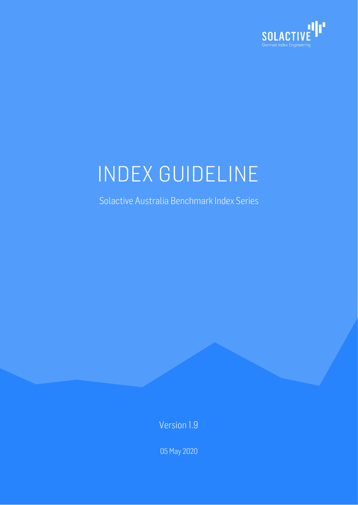

# INDEX GUIDELINE

Solactive Australia Benchmark Index Series

Version 1.9

05 May 2020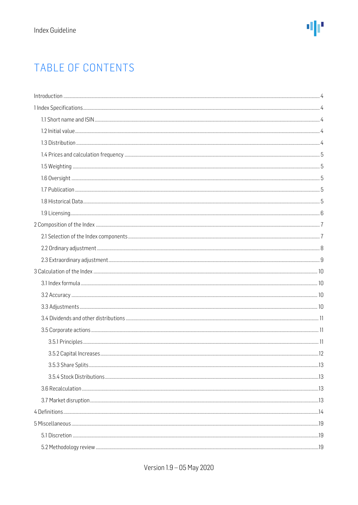# TABLE OF CONTENTS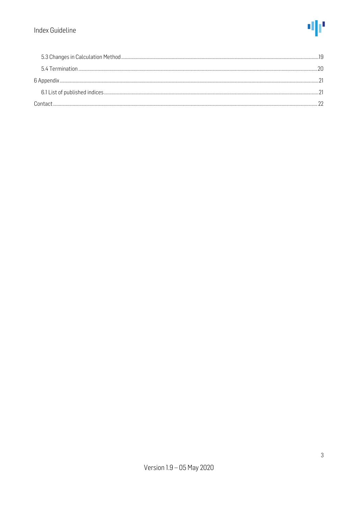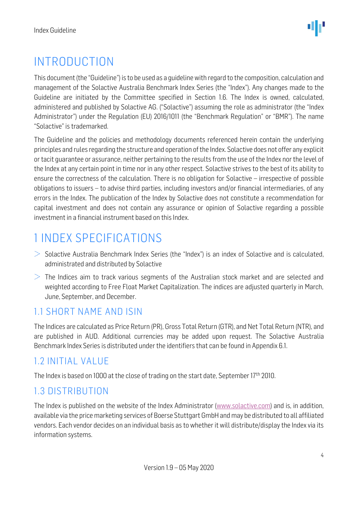# <span id="page-3-0"></span>INTRODUCTION

This document (the "Guideline") is to be used as a quideline with regard to the composition, calculation and management of the Solactive Australia Benchmark Index Series (the "Index"). Any changes made to the Guideline are initiated by the Committee specified in Section 1.6. The Index is owned, calculated, administered and published by Solactive AG. ("Solactive") assuming the role as administrator (the "Index Administrator") under the Regulation (EU) 2016/1011 (the "Benchmark Regulation" or "BMR"). The name "Solactive" is trademarked.

The Guideline and the policies and methodology documents referenced herein contain the underlying principles and rules regarding the structure and operation of the Index. Solactive does not offer any explicit or tacit guarantee or assurance, neither pertaining to the results from the use of the Index nor the level of the Index at any certain point in time nor in any other respect. Solactive strives to the best of its ability to ensure the correctness of the calculation. There is no obligation for Solactive – irrespective of possible obligations to issuers – to advise third parties, including investors and/or financial intermediaries, of any errors in the Index. The publication of the Index by Solactive does not constitute a recommendation for capital investment and does not contain any assurance or opinion of Solactive regarding a possible investment in a financial instrument based on this Index.

# <span id="page-3-1"></span>1 INDEX SPECIFICATIONS

- $>$  Solactive Australia Benchmark Index Series (the "Index") is an index of Solactive and is calculated, administrated and distributed by Solactive
- $>$  The Indices aim to track various segments of the Australian stock market and are selected and weighted according to Free Float Market Capitalization. The indices are adjusted quarterly in March, June, September, and December.

### <span id="page-3-2"></span>1.1 SHORT NAME AND ISIN

The Indices are calculated as Price Return (PR), Gross Total Return (GTR), and Net Total Return (NTR), and are published in AUD. Additional currencies may be added upon request. The Solactive Australia Benchmark Index Series is distributed under the identifiers that can be found in Appendix 6.1.

### <span id="page-3-3"></span>1.2 INITIAL VALUE

The Index is based on 1000 at the close of trading on the start date, September 17<sup>th</sup> 2010.

### <span id="page-3-4"></span>1.3 DISTRIBUTION

The Index is published on the website of the Index Administrator [\(www.solactive.com\)](http://www.solactive.com/) and is, in addition, available via the price marketing services of Boerse Stuttgart GmbHand may be distributed to all affiliated vendors. Each vendor decides on an individual basis as to whether it will distribute/display the Index via its information systems.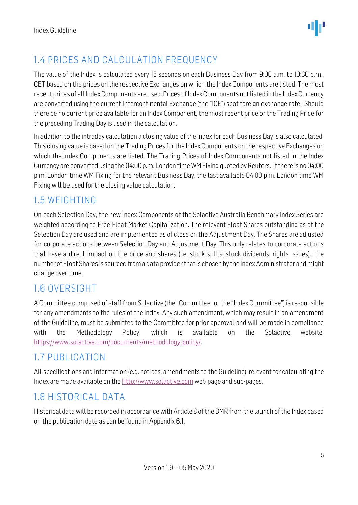

## <span id="page-4-0"></span>1.4 PRICES AND CALCULATION FREQUENCY

The value of the Index is calculated every 15 seconds on each Business Day from 9:00 a.m. to 10:30 p.m., CET based on the prices on the respective Exchanges on which the Index Components are listed. The most recent prices of all Index Components are used. Prices of Index Components not listed in the Index Currency are converted using the current Intercontinental Exchange (the "ICE") spot foreign exchange rate. Should there be no current price available for an Index Component, the most recent price or the Trading Price for the preceding Trading Day is used in the calculation.

In addition to the intraday calculation a closing value of the Index for each Business Day is also calculated. This closing value is based on the Trading Prices for the Index Components on the respective Exchanges on which the Index Components are listed. The Trading Prices of Index Components not listed in the Index Currency are converted using the 04:00 p.m. London time WM Fixing quoted by Reuters. If there is no 04:00 p.m. London time WM Fixing for the relevant Business Day, the last available 04:00 p.m. London time WM Fixing will be used for the closing value calculation.

#### <span id="page-4-1"></span>1.5 WEIGHTING

On each Selection Day, the new Index Components of the Solactive Australia Benchmark Index Series are weighted according to Free-Float Market Capitalization. The relevant Float Shares outstanding as of the Selection Day are used and are implemented as of close on the Adjustment Day. The Shares are adjusted for corporate actions between Selection Day and Adjustment Day. This only relates to corporate actions that have a direct impact on the price and shares (i.e. stock splits, stock dividends, rights issues). The number of Float Shares is sourced from a data provider that is chosen by the Index Administrator and might change over time.

#### <span id="page-4-2"></span>1.6 OVERSIGHT

A Committee composed of staff from Solactive (the "Committee" or the "Index Committee") is responsible for any amendments to the rules of the Index. Any such amendment, which may result in an amendment of the Guideline, must be submitted to the Committee for prior approval and will be made in compliance with the [Methodology](http://methodology/) Policy, which is available on the Solactive website: [https://www.solactive.com/documents/methodology-policy/.](https://www.solactive.com/documents/methodology-policy/)

#### <span id="page-4-3"></span>1.7 PUBLICATION

All specifications and information (e.g. notices, amendments to the Guideline) relevant for calculating the Index are made available on the [http://www.solactive.com](http://www.solactive.com/) web page and sub-pages.

### <span id="page-4-4"></span>1.8 HISTORICAL DATA

Historical data will be recorded in accordance with Article 8 of the BMR from the launch of the Index based on the publication date as can be found in Appendix 6.1.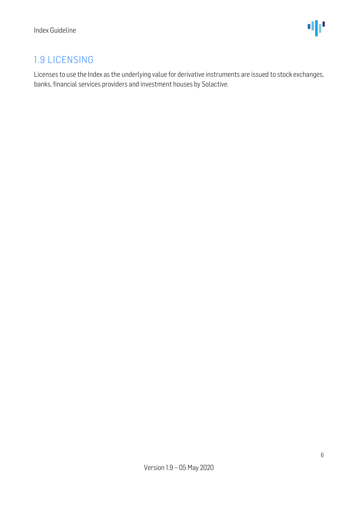### <span id="page-5-0"></span>1.9 LICENSING

Licenses to use the Index as the underlying value for derivative instruments are issued to stock exchanges, banks, financial services providers and investment houses by Solactive.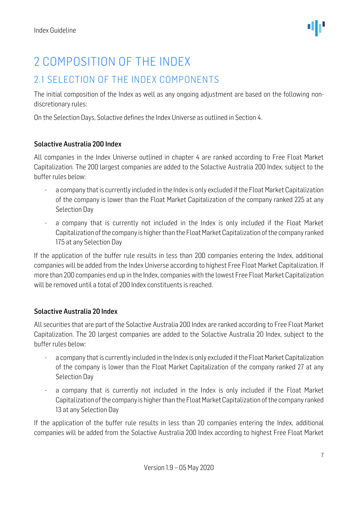#### <span id="page-6-1"></span><span id="page-6-0"></span>2.1 SELECTION OF THE INDEX COMPONENTS

The initial composition of the Index as well as any ongoing adjustment are based on the following nondiscretionary rules:

On the Selection Days, Solactive defines the Index Universe as outlined in Section 4.

#### Solactive Australia 200 Index

All companies in the Index Universe outlined in chapter 4 are ranked according to Free Float Market Capitalization. The 200 largest companies are added to the Solactive Australia 200 Index, subject to the buffer rules below:

- a company that is currently included in the Index is only excluded if the Float Market Capitalization of the company is lower than the Float Market Capitalization of the company ranked 225 at any Selection Day
- a company that is currently not included in the Index is only included if the Float Market Capitalization of the company is higher than the Float Market Capitalization of the company ranked 175 at any Selection Day

If the application of the buffer rule results in less than 200 companies entering the Index, additional companies will be added from the Index Universe according to highest Free Float Market Capitalization. If more than 200 companies end up in the Index, companies with the lowest Free Float Market Capitalization will be removed until a total of 200 Index constituents is reached.

#### Solactive Australia 20 Index

All securities that are part of the Solactive Australia 200 Index are ranked according to Free Float Market Capitalization. The 20 largest companies are added to the Solactive Australia 20 Index, subject to the buffer rules below:

- a company that is currently included in the Index is only excluded if the Float Market Capitalization of the company is lower than the Float Market Capitalization of the company ranked 27 at any Selection Day
- a company that is currently not included in the Index is only included if the Float Market Capitalization of the company is higher than the Float Market Capitalization of the company ranked 13 at any Selection Day

If the application of the buffer rule results in less than 20 companies entering the Index, additional companies will be added from the Solactive Australia 200 Index according to highest Free Float Market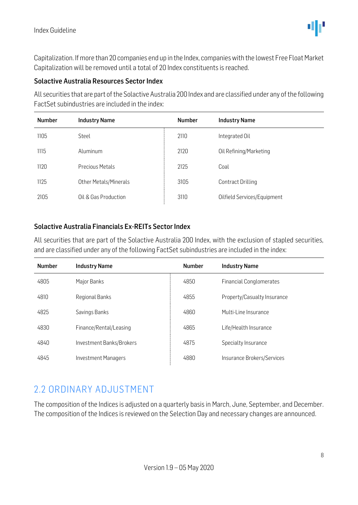Capitalization. If more than 20 companies end up in the Index, companies with the lowest Free Float Market Capitalization will be removed until a total of 20 Index constituents is reached.

#### Solactive Australia Resources Sector Index

All securities that are part of the Solactive Australia 200 Index and are classified under any of the following FactSet subindustries are included in the index:

| <b>Number</b> | <b>Industry Name</b>   |      | <b>Industry Name</b>        |
|---------------|------------------------|------|-----------------------------|
| 1105          | Steel                  | 2110 | Integrated Oil              |
| 1115          | Aluminum               | 2120 | Oil Refining/Marketing      |
| 1120          | <b>Precious Metals</b> | 2125 | Coal                        |
| 1125          | Other Metals/Minerals  | 3105 | <b>Contract Drilling</b>    |
| 2105          | Oil & Gas Production   | 3110 | Oilfield Services/Equipment |

#### Solactive Australia Financials Ex-REITs Sector Index

All securities that are part of the Solactive Australia 200 Index, with the exclusion of stapled securities, and are classified under any of the following FactSet subindustries are included in the index:

| <b>Number</b> | <b>Industry Name</b>       | <b>Number</b> | <b>Industry Name</b>           |
|---------------|----------------------------|---------------|--------------------------------|
| 4805          | Major Banks                | 4850          | <b>Financial Conglomerates</b> |
| 4810          | <b>Regional Banks</b>      | 4855          | Property/Casualty Insurance    |
| 4825          | Savings Banks              | 4860          | Multi-Line Insurance           |
| 4830          | Finance/Rental/Leasing     | 4865          | Life/Health Insurance          |
| 4840          | Investment Banks/Brokers   | 4875          | Specialty Insurance            |
| 4845          | <b>Investment Managers</b> | 4880          | Insurance Brokers/Services     |

#### <span id="page-7-0"></span>2.2 ORDINARY ADJUSTMENT

The composition of the Indices is adjusted on a quarterly basis in March, June, September, and December. The composition of the Indices is reviewed on the Selection Day and necessary changes are announced.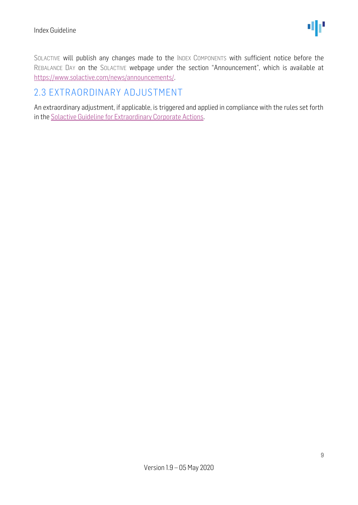SOLACTIVE will publish any changes made to the INDEX COMPONENTS with sufficient notice before the REBALANCE DAY on the SOLACTIVE webpage under the section "Announcement", which is available at [https://www.solactive.com/news/announcements/.](https://www.solactive.com/news/announcements/)

### <span id="page-8-0"></span>2.3 EXTRAORDINARY ADJUSTMENT

An extraordinary adjustment, if applicable, is triggered and applied in compliance with the rules set forth in th[e Solactive Guideline for Extraordinary Corporate Actions.](http://www.solactive.com/news/documents/)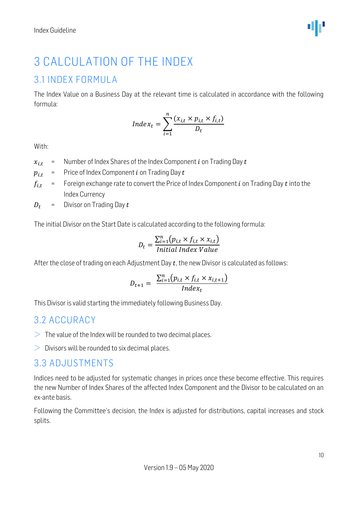# <span id="page-9-0"></span>3 CALCULATION OF THE INDEX

#### <span id="page-9-1"></span>3.1 INDEX FORMULA

The Index Value on a Business Day at the relevant time is calculated in accordance with the following formula:

$$
Index_t = \sum_{i=1}^{n} \frac{(x_{i,t} \times p_{i,t} \times f_{i,t})}{D_t}
$$

With:

- $x_{i,t}$  = Number of Index Shares of the Index Component *i* on Trading Day *t*
- $p_{i,t}$  = Price of Index Component *i* on Trading Day *t*
- $f_{i,t}$  = Foreign exchange rate to convert the Price of Index Component *i* on Trading Day *t* into the Index Currency
- $D_t$  = Divisor on Trading Day  $t$

The initial Divisor on the Start Date is calculated according to the following formula:

$$
D_t = \frac{\sum_{i=1}^{n} (p_{i,t} \times f_{i,t} \times x_{i,t})}{Initial Index Value}
$$

After the close of trading on each Adjustment Day  $t$ , the new Divisor is calculated as follows:

$$
D_{t+1} = \frac{\sum_{i=1}^{n} (p_{i,t} \times f_{i,t} \times x_{i,t+1})}{Index_t}
$$

This Divisor is valid starting the immediately following Business Day.

#### <span id="page-9-2"></span>3.2 ACCURACY

- $>$  The value of the Index will be rounded to two decimal places.
- $\geq$  Divisors will be rounded to six decimal places.

#### <span id="page-9-3"></span>3.3 ADJUSTMENTS

Indices need to be adjusted for systematic changes in prices once these become effective. This requires the new Number of Index Shares of the affected Index Component and the Divisor to be calculated on an ex-ante basis.

Following the Committee's decision, the Index is adjusted for distributions, capital increases and stock splits.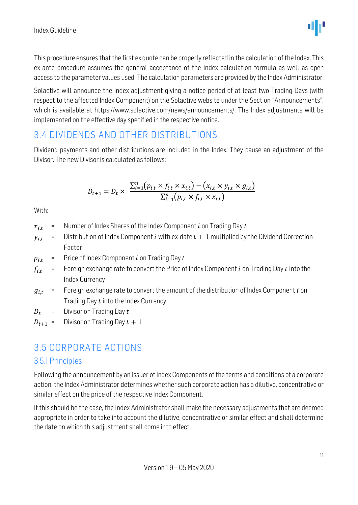

This procedure ensures that the first ex quote can be properly reflected in the calculation of the Index. This ex-ante procedure assumes the general acceptance of the Index calculation formula as well as open access to the parameter values used. The calculation parameters are provided by the Index Administrator.

Solactive will announce the Index adjustment giving a notice period of at least two Trading Days (with respect to the affected Index Component) on the Solactive website under the Section "Announcements", which is available at https://www.solactive.com/news/announcements/. The Index adjustments will be implemented on the effective day specified in the respective notice.

#### <span id="page-10-0"></span>3.4 DIVIDENDS AND OTHER DISTRIBUTIONS

Dividend payments and other distributions are included in the Index. They cause an adjustment of the Divisor. The new Divisor is calculated as follows:

$$
D_{t+1} = D_t \times \frac{\sum_{i=1}^{n} (p_{i,t} \times f_{i,t} \times x_{i,t}) - (x_{i,t} \times y_{i,t} \times g_{i,t})}{\sum_{i=1}^{n} (p_{i,t} \times f_{i,t} \times x_{i,t})}
$$

With:

- $x_{i,t}$  = Number of Index Shares of the Index Component *i* on Trading Day *t*
- $y_{i,t}$  = Distribution of Index Component *i* with ex-date  $t + 1$  multiplied by the Dividend Correction Factor
- $p_{i,t}$  = Price of Index Component *i* on Trading Day *t*
- $f_{i,t}$  = Foreign exchange rate to convert the Price of Index Component *i* on Trading Day *t* into the Index Currency
- $g_{i,t}$  = Foreign exchange rate to convert the amount of the distribution of Index Component *i* on Trading Day  $t$  into the Index Currency
- $D_t$  = Divisor on Trading Day t
- $D_{t+1}$  = Divisor on Trading Day  $t + 1$

#### <span id="page-10-1"></span>3.5 CORPORATE ACTIONS

#### <span id="page-10-2"></span>3.5.1 Principles

Following the announcement by an issuer of Index Components of the terms and conditions of a corporate action, the Index Administrator determines whether such corporate action has a dilutive, concentrative or similar effect on the price of the respective Index Component.

If this should be the case, the Index Administrator shall make the necessary adjustments that are deemed appropriate in order to take into account the dilutive, concentrative or similar effect and shall determine the date on which this adjustment shall come into effect.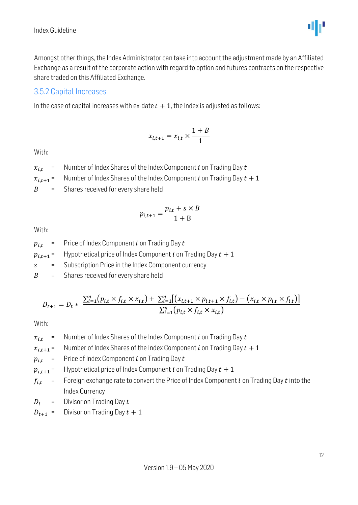

Amongst other things, the Index Administrator can take into account the adjustment made by an Affiliated Exchange as a result of the corporate action with regard to option and futures contracts on the respective share traded on this Affiliated Exchange.

#### <span id="page-11-0"></span>3.5.2 Capital Increases

In the case of capital increases with ex-date  $t + 1$ , the Index is adjusted as follows:

$$
x_{i,t+1} = x_{i,t} \times \frac{1+B}{1}
$$

With:

- $x_{i,t}$  = Number of Index Shares of the Index Component *i* on Trading Day *t*
- $x_{i,t+1}$  = Number of Index Shares of the Index Component *i* on Trading Day  $t + 1$

 $B =$  Shares received for every share held

$$
p_{i,t+1} = \frac{p_{i,t} + s \times B}{1 + B}
$$

With:

 $p_{i,t}$  = Price of Index Component *i* on Trading Day *t* 

 $p_{i,t+1}$  = Hypothetical price of Index Component *i* on Trading Day  $t + 1$ 

 $s =$  Subscription Price in the Index Component currency

 $B =$  Shares received for every share held

$$
D_{t+1} = D_t * \frac{\sum_{i=1}^{n} (p_{i,t} \times f_{i,t} \times x_{i,t}) + \sum_{i=1}^{n} [(x_{i,t+1} \times p_{i,t+1} \times f_{i,t}) - (x_{i,t} \times p_{i,t} \times f_{i,t})]}{\sum_{i=1}^{n} (p_{i,t} \times f_{i,t} \times x_{i,t})}
$$

With:

 $x_{i,t}$  = Number of Index Shares of the Index Component *i* on Trading Day *t* 

 $x_{i,t+1}$  = Number of Index Shares of the Index Component *i* on Trading Day  $t + 1$ 

 $p_{i,t}$  = Price of Index Component *i* on Trading Day *t* 

 $p_{i,t+1}$  = Hypothetical price of Index Component *i* on Trading Day  $t + 1$ 

 $f_{i,t}$  = Foreign exchange rate to convert the Price of Index Component *i* on Trading Day *t* into the Index Currency

- $D_t$  = Divisor on Trading Day  $t$
- $D_{t+1}$  = Divisor on Trading Day  $t + 1$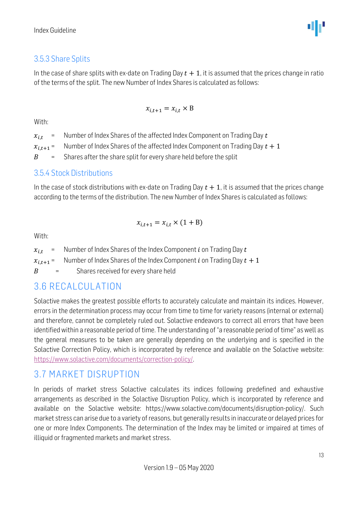#### <span id="page-12-0"></span>3.5.3 Share Splits

In the case of share splits with ex-date on Trading Day  $t + 1$ , it is assumed that the prices change in ratio of the terms of the split. The new Number of Index Shares is calculated as follows:

$$
x_{i,t+1} = x_{i,t} \times B
$$

#### With:

 $x_{i,t}$  = Number of Index Shares of the affected Index Component on Trading Day t

 $x_{i,t+1}$  = Number of Index Shares of the affected Index Component on Trading Day  $t + 1$ 

 $B =$  Shares after the share split for every share held before the split

#### <span id="page-12-1"></span>3.5.4 Stock Distributions

In the case of stock distributions with ex-date on Trading Day  $t + 1$ , it is assumed that the prices change according to the terms of the distribution. The new Number of Index Shares is calculated as follows:

$$
x_{i,t+1} = x_{i,t} \times (1 + B)
$$

With:

 $x_{i,t}$  = Number of Index Shares of the Index Component *i* on Trading Day *t*  $x_{i,t+1}$  = Number of Index Shares of the Index Component *i* on Trading Day  $t + 1$  $B =$  Shares received for every share held

#### <span id="page-12-2"></span>3.6 RECALCULATION

Solactive makes the greatest possible efforts to accurately calculate and maintain its indices. However, errors in the determination process may occur from time to time for variety reasons (internal or external) and therefore, cannot be completely ruled out. Solactive endeavors to correct all errors that have been identified within a reasonable period of time. The understanding of "a reasonable period of time" as well as the general measures to be taken are generally depending on the underlying and is specified in the Solactive Correction Policy, which is incorporated by reference and available on the Solactive website: [https://www.solactive.com/documents/correction-policy/.](https://www.solactive.com/documents/correction-policy/)

#### <span id="page-12-3"></span>3.7 MARKET DISRUPTION

In periods of market stress Solactive calculates its indices following predefined and exhaustive arrangements as described in the Solactive Disruption Policy, which is incorporated by reference and available on the Solactive website: https://www.solactive.com/documents/disruption-policy/. Such market stress can arise due to a variety of reasons, but generally results in inaccurate or delayed prices for one or more Index Components. The determination of the Index may be limited or impaired at times of illiquid or fragmented markets and market stress.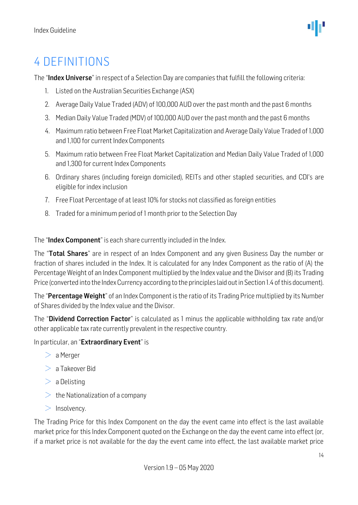# <span id="page-13-0"></span>4 DEFINITIONS

The "Index Universe" in respect of a Selection Day are companies that fulfill the following criteria:

- 1. Listed on the Australian Securities Exchange (ASX)
- 2. Average Daily Value Traded (ADV) of 100,000 AUD over the past month and the past 6 months
- 3. Median Daily Value Traded (MDV) of 100,000 AUD over the past month and the past 6 months
- 4. Maximum ratio between Free Float Market Capitalization and Average Daily Value Traded of 1,000 and 1,100 for current Index Components
- 5. Maximum ratio between Free Float Market Capitalization and Median Daily Value Traded of 1,000 and 1,300 for current Index Components
- 6. Ordinary shares (including foreign domiciled), REITs and other stapled securities, and CDI's are eligible for index inclusion
- 7. Free Float Percentage of at least 10% for stocks not classified as foreign entities
- 8. Traded for a minimum period of 1 month prior to the Selection Day

The "**Index Component**" is each share currently included in the Index.

The "Total Shares" are in respect of an Index Component and any given Business Day the number or fraction of shares included in the Index. It is calculated for any Index Component as the ratio of (A) the Percentage Weight of an Index Component multiplied by the Index value and the Divisor and (B) its Trading Price (converted into the Index Currency according to the principles laid out in Section 1.4 of this document).

The "Percentage Weight" of an Index Component is the ratio of its Trading Price multiplied by its Number of Shares divided by the Index value and the Divisor.

The "**Dividend Correction Factor**" is calculated as 1 minus the applicable withholding tax rate and/or other applicable tax rate currently prevalent in the respective country.

In particular, an "Extraordinary Event" is

- $> a$  Merger
- $> a$  Takeover Bid
- $> a$  Delisting
- $\geq$  the Nationalization of a company
- $>$  Insolvency.

The Trading Price for this Index Component on the day the event came into effect is the last available market price for this Index Component quoted on the Exchange on the day the event came into effect (or, if a market price is not available for the day the event came into effect, the last available market price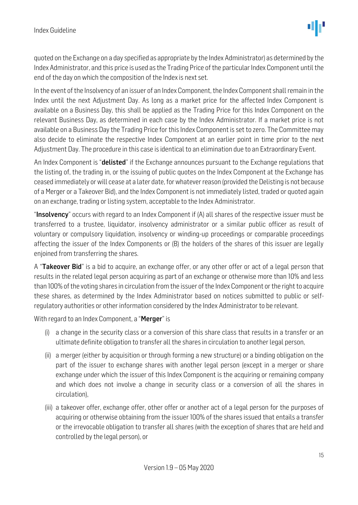quoted on the Exchange on a day specified as appropriate by the Index Administrator) as determined by the Index Administrator, and this price is used as the Trading Price of the particular Index Component until the end of the day on which the composition of the Index is next set.

In the event of the Insolvency of an issuer of an Index Component, the Index Component shall remain in the Index until the next Adjustment Day. As long as a market price for the affected Index Component is available on a Business Day, this shall be applied as the Trading Price for this Index Component on the relevant Business Day, as determined in each case by the Index Administrator. If a market price is not available on a Business Day the Trading Price for this Index Component is set to zero. The Committee may also decide to eliminate the respective Index Component at an earlier point in time prior to the next Adjustment Day. The procedure in this case is identical to an elimination due to an Extraordinary Event.

An Index Component is "**delisted**" if the Exchange announces pursuant to the Exchange regulations that the listing of, the trading in, or the issuing of public quotes on the Index Component at the Exchange has ceased immediately or will cease at a later date, for whatever reason (provided the Delisting is not because of a Merger or a Takeover Bid), and the Index Component is not immediately listed, traded or quoted again on an exchange, trading or listing system, acceptable to the Index Administrator.

"**Insolvency**" occurs with regard to an Index Component if (A) all shares of the respective issuer must be transferred to a trustee, liquidator, insolvency administrator or a similar public officer as result of voluntary or compulsory liquidation, insolvency or winding-up proceedings or comparable proceedings affecting the issuer of the Index Components or (B) the holders of the shares of this issuer are legally enjoined from transferring the shares.

A "Takeover Bid" is a bid to acquire, an exchange offer, or any other offer or act of a legal person that results in the related legal person acquiring as part of an exchange or otherwise more than 10% and less than 100% of the voting shares in circulation from the issuer of the Index Component or the right to acquire these shares, as determined by the Index Administrator based on notices submitted to public or selfregulatory authorities or other information considered by the Index Administrator to be relevant.

With regard to an Index Component, a "Merger" is

- (i) a change in the security class or a conversion of this share class that results in a transfer or an ultimate definite obligation to transfer all the shares in circulation to another legal person,
- (ii) a merger (either by acquisition or through forming a new structure) or a binding obligation on the part of the issuer to exchange shares with another legal person (except in a merger or share exchange under which the issuer of this Index Component is the acquiring or remaining company and which does not involve a change in security class or a conversion of all the shares in circulation),
- (iii) a takeover offer, exchange offer, other offer or another act of a legal person for the purposes of acquiring or otherwise obtaining from the issuer 100% of the shares issued that entails a transfer or the irrevocable obligation to transfer all shares (with the exception of shares that are held and controlled by the legal person), or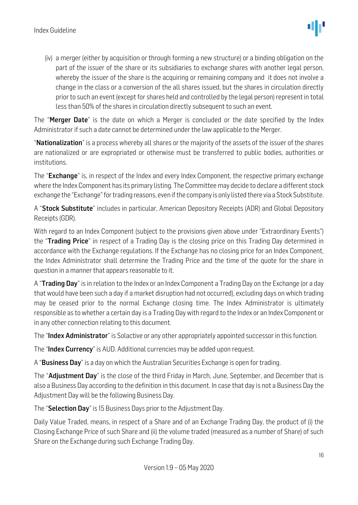(iv) a merger (either by acquisition or through forming a new structure) or a binding obligation on the part of the issuer of the share or its subsidiaries to exchange shares with another legal person, whereby the issuer of the share is the acquiring or remaining company and it does not involve a change in the class or a conversion of the all shares issued, but the shares in circulation directly prior to such an event (except for shares held and controlled by the legal person) represent in total less than 50% of the shares in circulation directly subsequent to such an event.

The "Merger Date" is the date on which a Merger is concluded or the date specified by the Index Administrator if such a date cannot be determined under the law applicable to the Merger.

"Nationalization" is a process whereby all shares or the majority of the assets of the issuer of the shares are nationalized or are expropriated or otherwise must be transferred to public bodies, authorities or institutions.

The "Exchange" is, in respect of the Index and every Index Component, the respective primary exchange where the Index Component has its primary listing. The Committee may decide to declare a different stock exchange the "Exchange" for trading reasons, even if the company is only listed there via a Stock Substitute.

A "Stock Substitute" includes in particular, American Depository Receipts (ADR) and Global Depository Receipts (GDR).

With regard to an Index Component (subject to the provisions given above under "Extraordinary Events") the "Trading Price" in respect of a Trading Day is the closing price on this Trading Day determined in accordance with the Exchange regulations. If the Exchange has no closing price for an Index Component, the Index Administrator shall determine the Trading Price and the time of the quote for the share in question in a manner that appears reasonable to it.

A "**Trading Day**" is in relation to the Index or an Index Component a Trading Day on the Exchange (or a day that would have been such a day if a market disruption had not occurred), excluding days on which trading may be ceased prior to the normal Exchange closing time. The Index Administrator is ultimately responsible as to whether a certain day is a Trading Day with regard to the Index or an Index Component or in any other connection relating to this document.

The "Index Administrator" is Solactive or any other appropriately appointed successor in this function.

The "Index Currency" is AUD. Additional currencies may be added upon request.

A "**Business Day**" is a day on which the Australian Securities Exchange is open for trading.

The "Adjustment Day" is the close of the third Friday in March, June, September, and December that is also a Business Day according to the definition in this document. In case that day is not a Business Day the Adjustment Day will be the following Business Day.

The "Selection Day" is 15 Business Days prior to the Adjustment Day.

Daily Value Traded, means, in respect of a Share and of an Exchange Trading Day, the product of (i) the Closing Exchange Price of such Share and (ii) the volume traded (measured as a number of Share) of such Share on the Exchange during such Exchange Trading Day.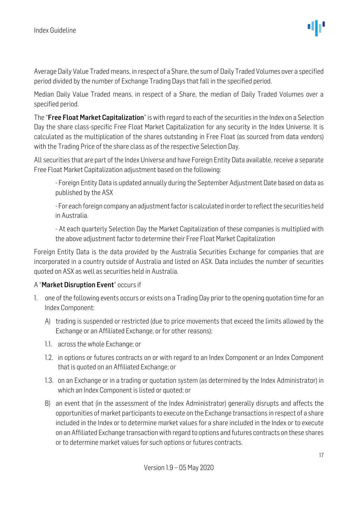Average Daily Value Traded means, in respect of a Share, the sum of Daily Traded Volumes over a specified period divided by the number of Exchange Trading Days that fall in the specified period.

Median Daily Value Traded means, in respect of a Share, the median of Daily Traded Volumes over a specified period.

The "Free Float Market Capitalization" is with regard to each of the securities in the Index on a Selection Day the share class-specific Free Float Market Capitalization for any security in the Index Universe. It is calculated as the multiplication of the shares outstanding in Free Float (as sourced from data vendors) with the Trading Price of the share class as of the respective Selection Day.

All securities that are part of the Index Universe and have Foreign Entity Data available, receive a separate Free Float Market Capitalization adjustment based on the following:

- Foreign Entity Data is updated annually during the September Adjustment Date based on data as published by the ASX

- For each foreign company an adjustment factor is calculated in order to reflect the securities held in Australia.

- At each quarterly Selection Day the Market Capitalization of these companies is multiplied with the above adjustment factor to determine their Free Float Market Capitalization

Foreign Entity Data is the data provided by the Australia Securities Exchange for companies that are incorporated in a country outside of Australia and listed on ASX. Data includes the number of securities quoted on ASX as well as securities held in Australia.

#### A "Market Disruption Event" occurs if

- 1. one of the following events occurs or exists on a Trading Day prior to the opening quotation time for an Index Component:
	- A) trading is suspended or restricted (due to price movements that exceed the limits allowed by the Exchange or an Affiliated Exchange, or for other reasons):
	- 1.1. across the whole Exchange; or
	- 1.2. in options or futures contracts on or with regard to an Index Component or an Index Component that is quoted on an Affiliated Exchange; or
	- 1.3. on an Exchange or in a trading or quotation system (as determined by the Index Administrator) in which an Index Component is listed or quoted; or
	- B) an event that (in the assessment of the Index Administrator) generally disrupts and affects the opportunities of market participants to execute on the Exchange transactions in respect of a share included in the Index or to determine market values for a share included in the Index or to execute on an Affiliated Exchange transaction with regard to options and futures contracts on these shares or to determine market values for such options or futures contracts.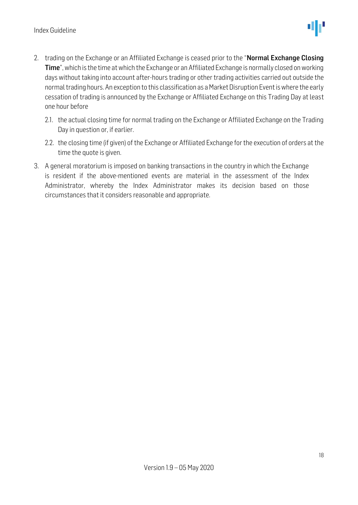- 2. trading on the Exchange or an Affiliated Exchange is ceased prior to the "Normal Exchange Closing Time", which is the time at which the Exchange or an Affiliated Exchange is normally closed on working days without taking into account after-hours trading or other trading activities carried out outside the normal trading hours. An exception to this classification as a Market Disruption Event is where the early cessation of trading is announced by the Exchange or Affiliated Exchange on this Trading Day at least one hour before
	- 2.1. the actual closing time for normal trading on the Exchange or Affiliated Exchange on the Trading Day in question or, if earlier.
	- 2.2. the closing time (if given) of the Exchange or Affiliated Exchange for the execution of orders at the time the quote is given.
- 3. A general moratorium is imposed on banking transactions in the country in which the Exchange is resident if the above-mentioned events are material in the assessment of the Index Administrator, whereby the Index Administrator makes its decision based on those circumstances that it considers reasonable and appropriate.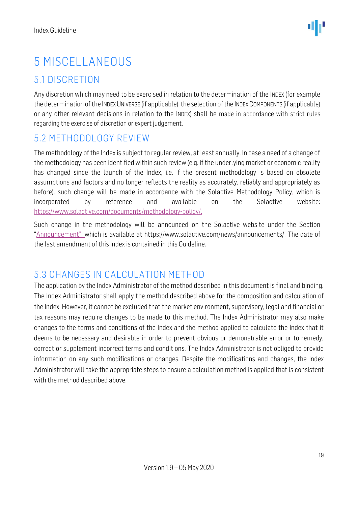# <span id="page-18-0"></span>5 MISCELLANEOUS

#### <span id="page-18-1"></span>5.1 DISCRETION

Any discretion which may need to be exercised in relation to the determination of the INDEX (for example the determination of the INDEX UNIVERSE (if applicable), the selection of the INDEX COMPONENTS (if applicable) or any other relevant decisions in relation to the INDEX) shall be made in accordance with strict rules regarding the exercise of discretion or expert judgement.

#### <span id="page-18-2"></span>5.2 METHODOLOGY REVIEW

The methodology of the Index is subject to regular review, at least annually. In case a need of a change of the methodology has been identified within such review (e.g. if the underlying market or economic reality has changed since the launch of the Index, i.e. if the present methodology is based on obsolete assumptions and factors and no longer reflects the reality as accurately, reliably and appropriately as before), such change will be made in accordance with the Solactive Methodology Policy, which is incorporated by reference and available on the Solactive website: [https://www.solactive.com/documents/methodology-policy/.](https://www.solactive.com/documents/methodology-policy/)

Such change in the methodology will be announced on the Solactive website under the Section "Announcement", which is available at https://www.solactive.com/news/announcements/. The date of the last amendment of this Index is contained in this Guideline.

#### <span id="page-18-3"></span>5.3 CHANGES IN CALCULATION METHOD

The application by the Index Administrator of the method described in this document is final and binding. The Index Administrator shall apply the method described above for the composition and calculation of the Index. However, it cannot be excluded that the market environment, supervisory, legal and financial or tax reasons may require changes to be made to this method. The Index Administrator may also make changes to the terms and conditions of the Index and the method applied to calculate the Index that it deems to be necessary and desirable in order to prevent obvious or demonstrable error or to remedy, correct or supplement incorrect terms and conditions. The Index Administrator is not obliged to provide information on any such modifications or changes. Despite the modifications and changes, the Index Administrator will take the appropriate steps to ensure a calculation method is applied that is consistent with the method described above.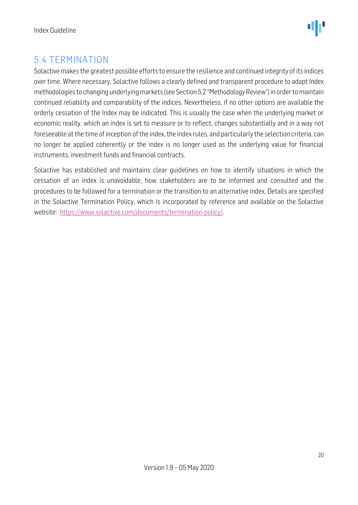### <span id="page-19-0"></span>5.4 TERMINATION

Solactive makes the greatest possible efforts to ensure the resilience and continued integrity of its indices over time. Where necessary, Solactive follows a clearly defined and transparent procedure to adapt Index methodologies to changing underlying markets (see Section 5.2 "Methodology Review") in order to maintain continued reliability and comparability of the indices. Nevertheless, if no other options are available the orderly cessation of the Index may be indicated. This is usually the case when the underlying market or economic reality, which an index is set to measure or to reflect, changes substantially and in a way not foreseeable at the time of inception of the index, the index rules, and particularly the selection criteria, can no longer be applied coherently or the index is no longer used as the underlying value for financial instruments, investment funds and financial contracts.

Solactive has established and maintains clear guidelines on how to identify situations in which the cessation of an index is unavoidable, how stakeholders are to be informed and consulted and the procedures to be followed for a termination or the transition to an alternative index. Details are specified in the Solactive Termination Policy, which is incorporated by reference and available on the Solactive website: [https://www.solactive.com/documents/termination-policy/.](https://www.solactive.com/documents/termination-policy/)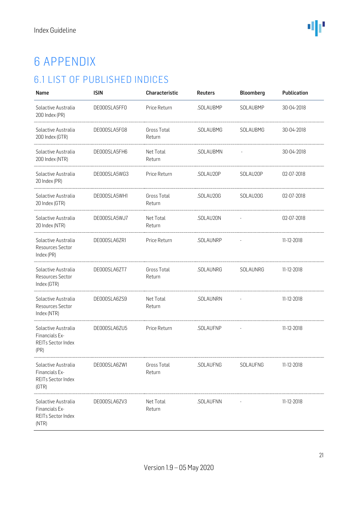# <span id="page-20-0"></span>6 APPENDIX

## <span id="page-20-1"></span>6.1 LIST OF PUBLISHED INDICES

| Name                                                                 | <b>ISIN</b>  | Characteristic        | <b>Reuters</b> | <b>Bloomberg</b> | Publication |
|----------------------------------------------------------------------|--------------|-----------------------|----------------|------------------|-------------|
| Solactive Australia<br>200 Index (PR)                                | DE000SLA5FF0 | Price Return          | .SOLAUBMP      | SOLAUBMP         | 30-04-2018  |
| Solactive Australia<br>200 Index (GTR)                               | DE000SLA5FG8 | Gross Total<br>Return | .SOLAUBMG      | SOLAUBMG         | 30-04-2018  |
| Solactive Australia<br>200 Index (NTR)                               | DE000SLA5FH6 | Net Total<br>Return   | .SOLAUBMN      |                  | 30-04-2018  |
| Solactive Australia<br>20 Index (PR)                                 | DE000SLA5WG3 | Price Return          | .SOLAU20P      | SOLAU20P         | 02-07-2018  |
| Solactive Australia<br>20 Index (GTR)                                | DE000SLA5WH1 | Gross Total<br>Return | .SOLAU20G      | SOLAU20G         | 02-07-2018  |
| Solactive Australia<br>20 Index (NTR)                                | DE000SLA5WJ7 | Net Total<br>Return   | .SOLAU20N      |                  | 02-07-2018  |
| Solactive Australia<br>Resources Sector<br>Index (PR)                | DE000SLA6ZR1 | Price Return          | .SOLAUNRP      |                  | 11-12-2018  |
| Solactive Australia<br>Resources Sector<br>Index (GTR)               | DE000SLA6ZT7 | Gross Total<br>Return | .SOLAUNRG      | SOLAUNRG         | 11-12-2018  |
| Solactive Australia<br>Resources Sector<br>Index (NTR)               | DE000SLA6ZS9 | Net Total<br>Return   | .SOLAUNRN      |                  | 11-12-2018  |
| Solactive Australia<br>Financials Ex-<br>REITs Sector Index<br>(PR)  | DE000SLA6ZU5 | Price Return          | .SOLAUFNP      |                  | 11-12-2018  |
| Solactive Australia<br>Financials Ex-<br>REITs Sector Index<br>(GTR) | DE000SLA6ZW1 | Gross Total<br>Return | .SOLAUFNG      | SOLAUFNG         | 11-12-2018  |
| Solactive Australia<br>Financials Ex-<br>REITs Sector Index<br>(NTR) | DE000SLA6ZV3 | Net Total<br>Return   | .SOLAUFNN      |                  | 11-12-2018  |